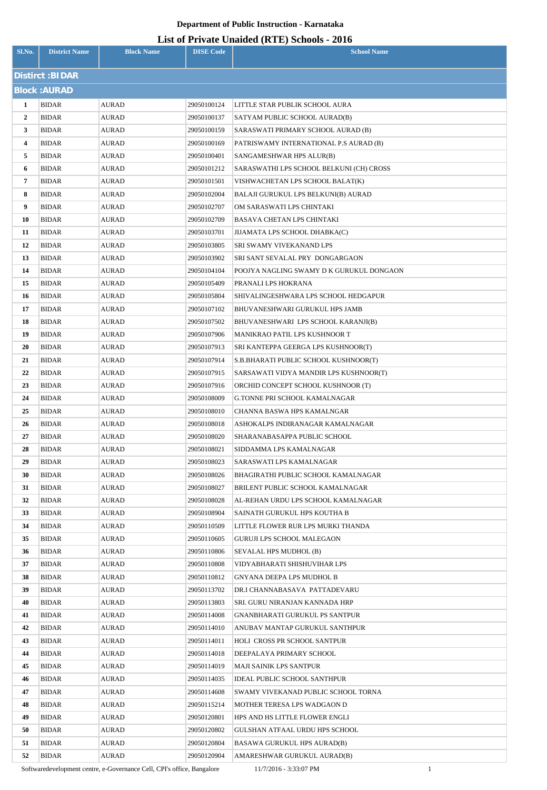### **List of Private Unaided (RTE) Schools - 2016**

| Sl.No.         | <b>District Name</b>         | <b>Block Name</b>     | <b>DISE Code</b>           | <b>School Name</b>                                            |
|----------------|------------------------------|-----------------------|----------------------------|---------------------------------------------------------------|
|                | Distirct: BIDAR              |                       |                            |                                                               |
|                | <b>Block: AURAD</b>          |                       |                            |                                                               |
| 1              | <b>BIDAR</b>                 | <b>AURAD</b>          | 29050100124                | LITTLE STAR PUBLIK SCHOOL AURA                                |
| $\overline{2}$ | <b>BIDAR</b>                 | <b>AURAD</b>          | 29050100137                | SATYAM PUBLIC SCHOOL AURAD(B)                                 |
| 3              | <b>BIDAR</b>                 | AURAD                 | 29050100159                | SARASWATI PRIMARY SCHOOL AURAD (B)                            |
| 4              | <b>BIDAR</b>                 | <b>AURAD</b>          | 29050100169                | PATRISWAMY INTERNATIONAL P.S AURAD (B)                        |
| 5              | <b>BIDAR</b>                 | AURAD                 | 29050100401                | SANGAMESHWAR HPS ALUR(B)                                      |
| 6              | <b>BIDAR</b>                 | <b>AURAD</b>          | 29050101212                | SARASWATHI LPS SCHOOL BELKUNI (CH) CROSS                      |
| 7              | <b>BIDAR</b>                 | AURAD                 | 29050101501                | VISHWACHETAN LPS SCHOOL BALAT(K)                              |
| 8              | <b>BIDAR</b>                 | <b>AURAD</b>          | 29050102004                | BALAJI GURUKUL LPS BELKUNI(B) AURAD                           |
| 9              | <b>BIDAR</b>                 | <b>AURAD</b>          | 29050102707                | OM SARASWATI LPS CHINTAKI                                     |
| 10             | <b>BIDAR</b>                 | <b>AURAD</b>          | 29050102709                | BASAVA CHETAN LPS CHINTAKI                                    |
| 11             | <b>BIDAR</b>                 | AURAD                 | 29050103701                | JIJAMATA LPS SCHOOL DHABKA(C)                                 |
| 12             | <b>BIDAR</b>                 | AURAD                 | 29050103805                | SRI SWAMY VIVEKANAND LPS                                      |
| 13             | <b>BIDAR</b>                 | AURAD                 | 29050103902                | SRI SANT SEVALAL PRY DONGARGAON                               |
| 14             | <b>BIDAR</b>                 | AURAD                 | 29050104104                | POOJYA NAGLING SWAMY D K GURUKUL DONGAON                      |
| 15             | <b>BIDAR</b>                 | <b>AURAD</b>          | 29050105409                | PRANALI LPS HOKRANA                                           |
| 16             | <b>BIDAR</b>                 | <b>AURAD</b>          | 29050105804                | SHIVALINGESHWARA LPS SCHOOL HEDGAPUR                          |
| 17             | <b>BIDAR</b>                 | AURAD                 | 29050107102                | BHUVANESHWARI GURUKUL HPS JAMB                                |
| 18             | <b>BIDAR</b>                 | <b>AURAD</b>          | 29050107502                | BHUVANESHWARI LPS SCHOOL KARANJI(B)                           |
| 19             | <b>BIDAR</b>                 | <b>AURAD</b>          | 29050107906                | MANIKRAO PATIL LPS KUSHNOOR T                                 |
| 20             | <b>BIDAR</b>                 | <b>AURAD</b>          | 29050107913                | SRI KANTEPPA GEERGA LPS KUSHNOOR(T)                           |
| 21             | <b>BIDAR</b>                 | <b>AURAD</b>          | 29050107914                | S.B.BHARATI PUBLIC SCHOOL KUSHNOOR(T)                         |
| 22             | <b>BIDAR</b>                 | AURAD                 | 29050107915                | SARSAWATI VIDYA MANDIR LPS KUSHNOOR(T)                        |
| 23             | <b>BIDAR</b>                 | <b>AURAD</b>          | 29050107916                | ORCHID CONCEPT SCHOOL KUSHNOOR (T)                            |
| 24             | <b>BIDAR</b>                 | <b>AURAD</b>          | 29050108009                | <b>G.TONNE PRI SCHOOL KAMALNAGAR</b>                          |
| 25             | <b>BIDAR</b>                 | <b>AURAD</b>          | 29050108010                | CHANNA BASWA HPS KAMALNGAR                                    |
| 26             | <b>BIDAR</b>                 | <b>AURAD</b>          | 29050108018                | ASHOKALPS INDIRANAGAR KAMALNAGAR                              |
| 27             | <b>BIDAR</b>                 | AURAD                 | 29050108020                | SHARANABASAPPA PUBLIC SCHOOL                                  |
| 28             | <b>BIDAR</b>                 | AURAD                 | 29050108021                | SIDDAMMA LPS KAMALNAGAR                                       |
| 29             | <b>BIDAR</b>                 | AURAD                 | 29050108023                | SARASWATI LPS KAMALNAGAR                                      |
| 30             | <b>BIDAR</b>                 | <b>AURAD</b>          | 29050108026                | BHAGIRATHI PUBLIC SCHOOL KAMALNAGAR                           |
| 31             | <b>BIDAR</b>                 | AURAD                 | 29050108027                | BRILENT PUBLIC SCHOOL KAMALNAGAR                              |
| 32             | BIDAR                        | <b>AURAD</b>          | 29050108028                | AL-REHAN URDU LPS SCHOOL KAMALNAGAR                           |
| 33             | <b>BIDAR</b>                 | AURAD                 | 29050108904                | SAINATH GURUKUL HPS KOUTHA B                                  |
| 34             | <b>BIDAR</b>                 | AURAD                 | 29050110509                | LITTLE FLOWER RUR LPS MURKI THANDA                            |
| 35             | <b>BIDAR</b>                 | AURAD                 | 29050110605                | <b>GURUJI LPS SCHOOL MALEGAON</b>                             |
| 36             | <b>BIDAR</b>                 | <b>AURAD</b>          | 29050110806                | SEVALAL HPS MUDHOL (B)                                        |
| 37             | <b>BIDAR</b>                 | AURAD                 | 29050110808                | VIDYABHARATI SHISHUVIHAR LPS                                  |
| 38             | <b>BIDAR</b>                 | <b>AURAD</b>          | 29050110812                | GNYANA DEEPA LPS MUDHOL B                                     |
| 39             | <b>BIDAR</b>                 | <b>AURAD</b>          | 29050113702                | DR.I CHANNABASAVA PATTADEVARU                                 |
| 40             | <b>BIDAR</b>                 | <b>AURAD</b>          | 29050113803                | SRI. GURU NIRANJAN KANNADA HRP                                |
| 41             | <b>BIDAR</b>                 | <b>AURAD</b>          | 29050114008                | GNANBHARATI GURUKUL PS SANTPUR                                |
| 42             | <b>BIDAR</b>                 | <b>AURAD</b>          | 29050114010                | ANUBAV MANTAP GURUKUL SANTHPUR                                |
| 43             | <b>BIDAR</b>                 | <b>AURAD</b>          | 29050114011                | HOLI CROSS PR SCHOOL SANTPUR                                  |
| 44             | <b>BIDAR</b>                 | <b>AURAD</b>          | 29050114018                | DEEPALAYA PRIMARY SCHOOL                                      |
| 45             | <b>BIDAR</b>                 | AURAD                 | 29050114019                | MAJI SAINIK LPS SANTPUR                                       |
| 46<br>47       | <b>BIDAR</b>                 | <b>AURAD</b>          | 29050114035                | <b>IDEAL PUBLIC SCHOOL SANTHPUR</b>                           |
| 48             | <b>BIDAR</b><br><b>BIDAR</b> | AURAD<br><b>AURAD</b> | 29050114608                | SWAMY VIVEKANAD PUBLIC SCHOOL TORNA                           |
| 49             | <b>BIDAR</b>                 | AURAD                 | 29050115214<br>29050120801 | MOTHER TERESA LPS WADGAON D<br>HPS AND HS LITTLE FLOWER ENGLI |
| 50             | <b>BIDAR</b>                 | <b>AURAD</b>          | 29050120802                | GULSHAN ATFAAL URDU HPS SCHOOL                                |
| 51             | BIDAR                        | <b>AURAD</b>          | 29050120804                | BASAWA GURUKUL HPS AURAD(B)                                   |
| 52             | <b>BIDAR</b>                 | <b>AURAD</b>          | 29050120904                | AMARESHWAR GURUKUL AURAD(B)                                   |

Softwaredevelopment centre, e-Governance Cell, CPI's office, Bangalore 11/7/2016 - 3:33:07 PM 1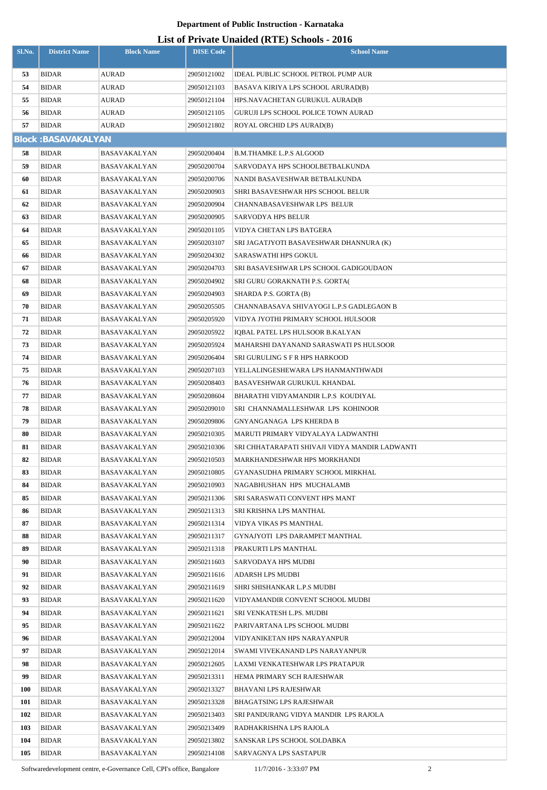# **List of Private Unaided (RTE) Schools - 2016**

|            |                           |                     |                  | LIST OF FITVALE UNAIGER (INTER) SCHOOLS - 2010         |
|------------|---------------------------|---------------------|------------------|--------------------------------------------------------|
| Sl.No.     | <b>District Name</b>      | <b>Block Name</b>   | <b>DISE Code</b> | <b>School Name</b>                                     |
| 53         | <b>BIDAR</b>              | <b>AURAD</b>        | 29050121002      | <b>IDEAL PUBLIC SCHOOL PETROL PUMP AUR</b>             |
| 54         | <b>BIDAR</b>              | AURAD               | 29050121103      | BASAVA KIRIYA LPS SCHOOL ARURAD(B)                     |
| 55         | <b>BIDAR</b>              | <b>AURAD</b>        | 29050121104      | HPS.NAVACHETAN GURUKUL AURAD(B                         |
| 56         | <b>BIDAR</b>              | AURAD               | 29050121105      | GURUJI LPS SCHOOL POLICE TOWN AURAD                    |
| 57         | <b>BIDAR</b>              | <b>AURAD</b>        | 29050121802      | ROYAL ORCHID LPS AURAD(B)                              |
|            | <b>Block:BASAVAKALYAN</b> |                     |                  |                                                        |
| 58         | <b>BIDAR</b>              | BASAVAKALYAN        | 29050200404      | B.M.THAMKE L.P.S ALGOOD                                |
| 59         | <b>BIDAR</b>              | <b>BASAVAKALYAN</b> | 29050200704      | SARVODAYA HPS SCHOOLBETBALKUNDA                        |
| 60         | <b>BIDAR</b>              | BASAVAKALYAN        | 29050200706      | NANDI BASAVESHWAR BETBALKUNDA                          |
| 61         | <b>BIDAR</b>              | BASAVAKALYAN        | 29050200903      | SHRI BASAVESHWAR HPS SCHOOL BELUR                      |
| 62         | <b>BIDAR</b>              | <b>BASAVAKALYAN</b> | 29050200904      | CHANNABASAVESHWAR LPS BELUR                            |
| 63         | <b>BIDAR</b>              | BASAVAKALYAN        | 29050200905      | <b>SARVODYA HPS BELUR</b>                              |
| 64         | <b>BIDAR</b>              | BASAVAKALYAN        | 29050201105      | VIDYA CHETAN LPS BATGERA                               |
| 65         | <b>BIDAR</b>              | <b>BASAVAKALYAN</b> | 29050203107      | SRI JAGATJYOTI BASAVESHWAR DHANNURA (K)                |
| 66         | <b>BIDAR</b>              | <b>BASAVAKALYAN</b> | 29050204302      | SARASWATHI HPS GOKUL                                   |
| 67         | <b>BIDAR</b>              | <b>BASAVAKALYAN</b> | 29050204703      | SRI BASAVESHWAR LPS SCHOOL GADIGOUDAON                 |
| 68         | <b>BIDAR</b>              | <b>BASAVAKALYAN</b> | 29050204902      | SRI GURU GORAKNATH P.S. GORTA(                         |
| 69         | <b>BIDAR</b>              | BASAVAKALYAN        | 29050204903      | SHARDA P.S. GORTA (B)                                  |
| 70         | <b>BIDAR</b>              | <b>BASAVAKALYAN</b> | 29050205505      | CHANNABASAVA SHIVAYOGI L.P.S GADLEGAON B               |
| 71         | <b>BIDAR</b>              | BASAVAKALYAN        | 29050205920      | VIDYA JYOTHI PRIMARY SCHOOL HULSOOR                    |
| 72         | <b>BIDAR</b>              | BASAVAKALYAN        | 29050205922      | IQBAL PATEL LPS HULSOOR B.KALYAN                       |
| 73         | <b>BIDAR</b>              | BASAVAKALYAN        | 29050205924      | MAHARSHI DAYANAND SARASWATI PS HULSOOR                 |
| 74         | <b>BIDAR</b>              | BASAVAKALYAN        | 29050206404      | SRI GURULING S F R HPS HARKOOD                         |
| 75         | <b>BIDAR</b>              | BASAVAKALYAN        | 29050207103      | YELLALINGESHEWARA LPS HANMANTHWADI                     |
| 76         | <b>BIDAR</b>              | <b>BASAVAKALYAN</b> | 29050208403      | BASAVESHWAR GURUKUL KHANDAL                            |
| 77         | <b>BIDAR</b>              | BASAVAKALYAN        | 29050208604      | BHARATHI VIDYAMANDIR L.P.S KOUDIYAL                    |
| 78         | <b>BIDAR</b>              | BASAVAKALYAN        | 29050209010      | SRI CHANNAMALLESHWAR LPS KOHINOOR                      |
| 79         | <b>BIDAR</b>              | BASAVAKALYAN        | 29050209806      | <b>GNYANGANAGA LPS KHERDA B</b>                        |
| 80         | <b>BIDAR</b>              | <b>BASAVAKALYAN</b> | 29050210305      | MARUTI PRIMARY VIDYALAYA LADWANTHI                     |
| 81         | BIDAR                     | BASAVAKALYAN        | 29050210306      | SRI CHHATARAPATI SHIVAJI VIDYA MANDIR LADWANTI         |
| 82         | <b>BIDAR</b>              | BASAVAKALYAN        | 29050210503      | MARKHANDESHWAR HPS MORKHANDI                           |
| 83         | BIDAR                     | BASAVAKALYAN        | 29050210805      | GYANASUDHA PRIMARY SCHOOL MIRKHAL                      |
| 84         | BIDAR                     | BASAVAKALYAN        | 29050210903      | NAGABHUSHAN HPS MUCHALAMB                              |
| 85         | BIDAR                     | BASAVAKALYAN        | 29050211306      | SRI SARASWATI CONVENT HPS MANT                         |
| 86         | <b>BIDAR</b>              | BASAVAKALYAN        | 29050211313      | SRI KRISHNA LPS MANTHAL                                |
| 87         | <b>BIDAR</b>              | <b>BASAVAKALYAN</b> | 29050211314      | VIDYA VIKAS PS MANTHAL                                 |
| 88         | <b>BIDAR</b>              | BASAVAKALYAN        | 29050211317      | GYNAJYOTI LPS DARAMPET MANTHAL                         |
| 89         | <b>BIDAR</b>              | BASAVAKALYAN        | 29050211318      | PRAKURTI LPS MANTHAL                                   |
| 90         | <b>BIDAR</b>              | BASAVAKALYAN        | 29050211603      | SARVODAYA HPS MUDBI                                    |
| 91         | <b>BIDAR</b>              | BASAVAKALYAN        | 29050211616      | ADARSH LPS MUDBI                                       |
| 92         | <b>BIDAR</b>              | BASAVAKALYAN        | 29050211619      | SHRI SHISHANKAR L.P.S MUDBI                            |
| 93         | <b>BIDAR</b>              | BASAVAKALYAN        | 29050211620      | VIDYAMANDIR CONVENT SCHOOL MUDBI                       |
| 94         | <b>BIDAR</b>              | BASAVAKALYAN        | 29050211621      | SRI VENKATESH L.PS. MUDBI                              |
| 95         | <b>BIDAR</b>              | BASAVAKALYAN        | 29050211622      | PARIVARTANA LPS SCHOOL MUDBI                           |
| 96         | <b>BIDAR</b>              | BASAVAKALYAN        | 29050212004      | VIDYANIKETAN HPS NARAYANPUR                            |
| 97         | <b>BIDAR</b>              | BASAVAKALYAN        | 29050212014      | SWAMI VIVEKANAND LPS NARAYANPUR                        |
| 98         | <b>BIDAR</b>              | BASAVAKALYAN        | 29050212605      | LAXMI VENKATESHWAR LPS PRATAPUR                        |
| 99         | <b>BIDAR</b>              | BASAVAKALYAN        | 29050213311      | HEMA PRIMARY SCH RAJESHWAR                             |
| 100        | BIDAR                     | BASAVAKALYAN        | 29050213327      | BHAVANI LPS RAJESHWAR                                  |
| 101        | BIDAR                     | BASAVAKALYAN        | 29050213328      | BHAGATSING LPS RAJESHWAR                               |
| 102        | BIDAR                     | BASAVAKALYAN        | 29050213403      | SRI PANDURANG VIDYA MANDIR LPS RAJOLA                  |
| 103        | BIDAR                     | BASAVAKALYAN        | 29050213409      | RADHAKRISHNA LPS RAJOLA<br>SANSKAR LPS SCHOOL SOLDABKA |
| 104<br>105 | BIDAR                     | BASAVAKALYAN        | 29050213802      |                                                        |
|            | BIDAR                     | BASAVAKALYAN        | 29050214108      | SARVAGNYA LPS SASTAPUR                                 |

Softwaredevelopment centre, e-Governance Cell, CPI's office, Bangalore 11/7/2016 - 3:33:07 PM 2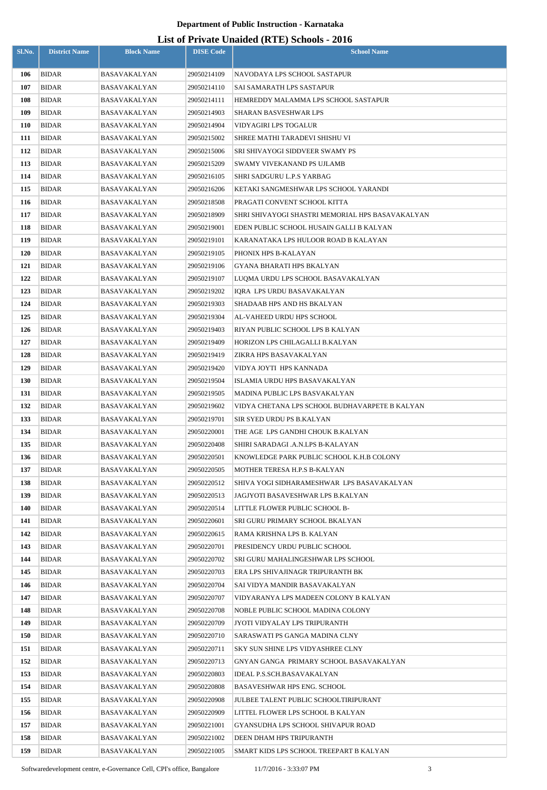| Sl.No.            | <b>District Name</b>         | <b>Block Name</b>            | <b>DISE Code</b>           | $\mathbf{L}_{\text{net}}$ of The accuracy (RTL) behoods $\mathbf{F}_{\text{net}}$<br><b>School Name</b> |
|-------------------|------------------------------|------------------------------|----------------------------|---------------------------------------------------------------------------------------------------------|
|                   |                              |                              |                            |                                                                                                         |
| 106               | <b>BIDAR</b>                 | BASAVAKALYAN                 | 29050214109                | NAVODAYA LPS SCHOOL SASTAPUR                                                                            |
| 107               | <b>BIDAR</b>                 | BASAVAKALYAN                 | 29050214110                | SAI SAMARATH LPS SASTAPUR                                                                               |
| 108               | BIDAR                        | BASAVAKALYAN                 | 29050214111                | HEMREDDY MALAMMA LPS SCHOOL SASTAPUR                                                                    |
| 109               | <b>BIDAR</b>                 | BASAVAKALYAN                 | 29050214903<br>29050214904 | SHARAN BASVESHWAR LPS                                                                                   |
| <b>110</b><br>111 | <b>BIDAR</b><br><b>BIDAR</b> | BASAVAKALYAN<br>BASAVAKALYAN | 29050215002                | <b>VIDYAGIRI LPS TOGALUR</b><br>SHREE MATHI TARADEVI SHISHU VI                                          |
| 112               | <b>BIDAR</b>                 | BASAVAKALYAN                 | 29050215006                | <b>SRI SHIVAYOGI SIDDVEER SWAMY PS</b>                                                                  |
| 113               | <b>BIDAR</b>                 | BASAVAKALYAN                 | 29050215209                | SWAMY VIVEKANAND PS UJLAMB                                                                              |
| 114               | <b>BIDAR</b>                 | BASAVAKALYAN                 | 29050216105                | SHRI SADGURU L.P.S YARBAG                                                                               |
| 115               | <b>BIDAR</b>                 | BASAVAKALYAN                 | 29050216206                | KETAKI SANGMESHWAR LPS SCHOOL YARANDI                                                                   |
| 116               | <b>BIDAR</b>                 | BASAVAKALYAN                 | 29050218508                | PRAGATI CONVENT SCHOOL KITTA                                                                            |
| 117               | <b>BIDAR</b>                 | BASAVAKALYAN                 | 29050218909                | SHRI SHIVAYOGI SHASTRI MEMORIAL HPS BASAVAKALYAN                                                        |
| 118               | <b>BIDAR</b>                 | BASAVAKALYAN                 | 29050219001                | EDEN PUBLIC SCHOOL HUSAIN GALLI B KALYAN                                                                |
| 119               | <b>BIDAR</b>                 | BASAVAKALYAN                 | 29050219101                | KARANATAKA LPS HULOOR ROAD B KALAYAN                                                                    |
| <b>120</b>        | <b>BIDAR</b>                 | BASAVAKALYAN                 | 29050219105                | PHONIX HPS B-KALAYAN                                                                                    |
| 121               | <b>BIDAR</b>                 | BASAVAKALYAN                 | 29050219106                | GYANA BHARATI HPS BKALYAN                                                                               |
| 122               | <b>BIDAR</b>                 | BASAVAKALYAN                 | 29050219107                | LUQMA URDU LPS SCHOOL BASAVAKALYAN                                                                      |
| 123               | <b>BIDAR</b>                 | BASAVAKALYAN                 | 29050219202                | IQRA LPS URDU BASAVAKALYAN                                                                              |
| 124               | <b>BIDAR</b>                 | BASAVAKALYAN                 | 29050219303                | SHADAAB HPS AND HS BKALYAN                                                                              |
| 125               | <b>BIDAR</b>                 | BASAVAKALYAN                 | 29050219304                | AL-VAHEED URDU HPS SCHOOL                                                                               |
| 126               | <b>BIDAR</b>                 | BASAVAKALYAN                 | 29050219403                | RIYAN PUBLIC SCHOOL LPS B KALYAN                                                                        |
| 127               | <b>BIDAR</b>                 | BASAVAKALYAN                 | 29050219409                | HORIZON LPS CHILAGALLI B.KALYAN                                                                         |
| 128               | <b>BIDAR</b>                 | BASAVAKALYAN                 | 29050219419                | ZIKRA HPS BASAVAKALYAN                                                                                  |
| 129               | <b>BIDAR</b>                 | BASAVAKALYAN                 | 29050219420                | VIDYA JOYTI HPS KANNADA                                                                                 |
| <b>130</b>        | <b>BIDAR</b>                 | BASAVAKALYAN                 | 29050219504                | ISLAMIA URDU HPS BASAVAKALYAN                                                                           |
| 131               | <b>BIDAR</b>                 | BASAVAKALYAN                 | 29050219505                | MADINA PUBLIC LPS BASVAKALYAN                                                                           |
| 132               | <b>BIDAR</b>                 | BASAVAKALYAN                 | 29050219602                | VIDYA CHETANA LPS SCHOOL BUDHAVARPETE B KALYAN                                                          |
| 133               | <b>BIDAR</b>                 | BASAVAKALYAN                 | 29050219701                | SIR SYED URDU PS B.KALYAN                                                                               |
| 134               | BIDAR                        | BASAVAKALYAN                 | 29050220001                | THE AGE LPS GANDHI CHOUK B.KALYAN                                                                       |
| 135               | <b>BIDAR</b>                 | BASAVAKALYAN                 | 29050220408                | SHIRI SARADAGI .A.N.LPS B-KALAYAN                                                                       |
| 136               | <b>BIDAR</b>                 | BASAVAKALYAN                 | 29050220501                | KNOWLEDGE PARK PUBLIC SCHOOL K.H.B COLONY                                                               |
| 137               | <b>BIDAR</b>                 | BASAVAKALYAN                 | 29050220505                | MOTHER TERESA H.P.S B-KALYAN                                                                            |
| 138<br>139        | <b>BIDAR</b><br><b>BIDAR</b> | BASAVAKALYAN<br>BASAVAKALYAN | 29050220512<br>29050220513 | SHIVA YOGI SIDHARAMESHWAR LPS BASAVAKALYAN<br>JAGJYOTI BASAVESHWAR LPS B.KALYAN                         |
| 140               | <b>BIDAR</b>                 | BASAVAKALYAN                 | 29050220514                | LITTLE FLOWER PUBLIC SCHOOL B-                                                                          |
| 141               | <b>BIDAR</b>                 | BASAVAKALYAN                 | 29050220601                | SRI GURU PRIMARY SCHOOL BKALYAN                                                                         |
| 142               | <b>BIDAR</b>                 | BASAVAKALYAN                 | 29050220615                | RAMA KRISHNA LPS B. KALYAN                                                                              |
| 143               | <b>BIDAR</b>                 | BASAVAKALYAN                 | 29050220701                | PRESIDENCY URDU PUBLIC SCHOOL                                                                           |
| 144               | <b>BIDAR</b>                 | BASAVAKALYAN                 | 29050220702                | SRI GURU MAHALINGESHWAR LPS SCHOOL                                                                      |
| 145               | <b>BIDAR</b>                 | BASAVAKALYAN                 | 29050220703                | ERA LPS SHIVAJINAGR TRIPURANTH BK                                                                       |
| 146               | <b>BIDAR</b>                 | BASAVAKALYAN                 | 29050220704                | SAI VIDYA MANDIR BASAVAKALYAN                                                                           |
| 147               | <b>BIDAR</b>                 | BASAVAKALYAN                 | 29050220707                | VIDYARANYA LPS MADEEN COLONY B KALYAN                                                                   |
| 148               | <b>BIDAR</b>                 | BASAVAKALYAN                 | 29050220708                | NOBLE PUBLIC SCHOOL MADINA COLONY                                                                       |
| 149               | <b>BIDAR</b>                 | BASAVAKALYAN                 | 29050220709                | JYOTI VIDYALAY LPS TRIPURANTH                                                                           |
| 150               | <b>BIDAR</b>                 | BASAVAKALYAN                 | 29050220710                | SARASWATI PS GANGA MADINA CLNY                                                                          |
| 151               | <b>BIDAR</b>                 | BASAVAKALYAN                 | 29050220711                | SKY SUN SHINE LPS VIDYASHREE CLNY                                                                       |
| 152               | <b>BIDAR</b>                 | BASAVAKALYAN                 | 29050220713                | GNYAN GANGA PRIMARY SCHOOL BASAVAKALYAN                                                                 |
| 153               | <b>BIDAR</b>                 | BASAVAKALYAN                 | 29050220803                | IDEAL P.S.SCH.BASAVAKALYAN                                                                              |
| 154               | BIDAR                        | BASAVAKALYAN                 | 29050220808                | BASAVESHWAR HPS ENG. SCHOOL                                                                             |
| 155               | BIDAR                        | BASAVAKALYAN                 | 29050220908                | JULBEE TALENT PUBLIC SCHOOLTIRIPURANT                                                                   |
| 156               | <b>BIDAR</b>                 | BASAVAKALYAN                 | 29050220909                | LITTEL FLOWER LPS SCHOOL B KALYAN                                                                       |
| 157               | <b>BIDAR</b>                 | BASAVAKALYAN                 | 29050221001                | GYANSUDHA LPS SCHOOL SHIVAPUR ROAD                                                                      |
| 158               | <b>BIDAR</b>                 | BASAVAKALYAN                 | 29050221002                | DEEN DHAM HPS TRIPURANTH                                                                                |
| 159               | <b>BIDAR</b>                 | BASAVAKALYAN                 | 29050221005                | SMART KIDS LPS SCHOOL TREEPART B KALYAN                                                                 |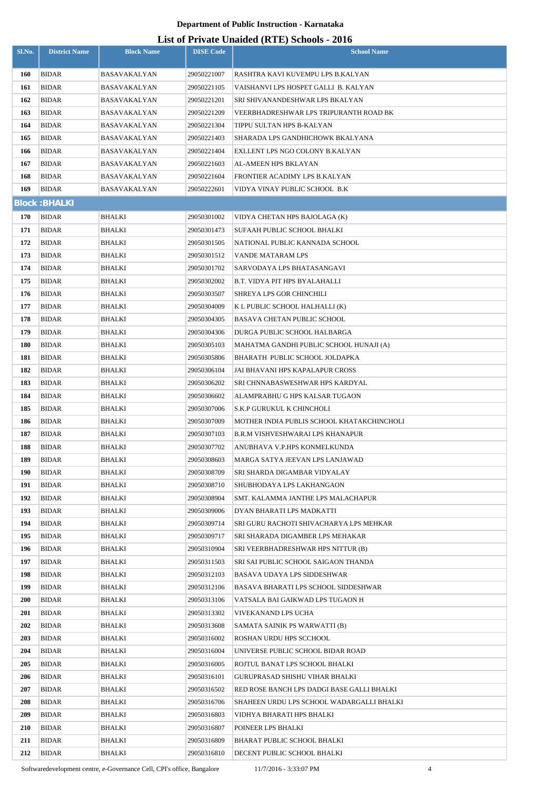### **List of Private Unaided (RTE) Schools - 2016**

| Sl.No.     | <b>District Name</b>  | <b>Block Name</b>   | <b>DISE Code</b>           | $111$ , and $21$ and $\frac{1}{2}$ and $\frac{1}{2}$ behoof $\frac{1}{2}$<br><b>School Name</b> |
|------------|-----------------------|---------------------|----------------------------|-------------------------------------------------------------------------------------------------|
| 160        | <b>BIDAR</b>          | BASAVAKALYAN        | 29050221007                | RASHTRA KAVI KUVEMPU LPS B.KALYAN                                                               |
| 161        | <b>BIDAR</b>          | BASAVAKALYAN        | 29050221105                | VAISHANVI LPS HOSPET GALLI B. KALYAN                                                            |
| 162        | BIDAR                 | BASAVAKALYAN        | 29050221201                | SRI SHIVANANDESHWAR LPS BKALYAN                                                                 |
| 163        | <b>BIDAR</b>          | BASAVAKALYAN        | 29050221209                | VEERBHADRESHWAR LPS TRIPURANTH ROAD BK                                                          |
| 164        | BIDAR                 | <b>BASAVAKALYAN</b> | 29050221304                | TIPPU SULTAN HPS B-KALYAN                                                                       |
| 165        | <b>BIDAR</b>          | BASAVAKALYAN        | 29050221403                | SHARADA LPS GANDHICHOWK BKALYANA                                                                |
| 166        | <b>BIDAR</b>          | <b>BASAVAKALYAN</b> | 29050221404                | EXLLENT LPS NGO COLONY B.KALYAN                                                                 |
| 167        | <b>BIDAR</b>          | BASAVAKALYAN        | 29050221603                | AL-AMEEN HPS BKLAYAN                                                                            |
| 168        | <b>BIDAR</b>          | BASAVAKALYAN        | 29050221604                | FRONTIER ACADIMY LPS B.KALYAN                                                                   |
| 169        | <b>BIDAR</b>          | BASAVAKALYAN        | 29050222601                | VIDYA VINAY PUBLIC SCHOOL  B.K                                                                  |
|            | <b>Block: BHALKI</b>  |                     |                            |                                                                                                 |
| 170        | <b>BIDAR</b>          | BHALKI              | 29050301002                | VIDYA CHETAN HPS BAJOLAGA (K)                                                                   |
| 171        | <b>BIDAR</b>          | BHALKI              | 29050301473                | SUFAAH PUBLIC SCHOOL BHALKI                                                                     |
| 172        | <b>BIDAR</b>          | BHALKI              | 29050301505                | NATIONAL PUBLIC KANNADA SCHOOL                                                                  |
| 173        | BIDAR                 | BHALKI              | 29050301512                | VANDE MATARAM LPS                                                                               |
| 174        | <b>BIDAR</b>          | BHALKI              | 29050301702                | SARVODAYA LPS BHATASANGAVI                                                                      |
| 175        | <b>BIDAR</b>          | BHALKI              | 29050302002                | B.T. VIDYA PIT HPS BYALAHALLI                                                                   |
| 176        | <b>BIDAR</b>          | BHALKI              | 29050303507                | SHREYA LPS GOR CHINCHILI                                                                        |
| 177        | <b>BIDAR</b>          | BHALKI              | 29050304009                | K L PUBLIC SCHOOL HALHALLI (K)                                                                  |
| 178        | <b>BIDAR</b>          | BHALKI              | 29050304305                | <b>BASAVA CHETAN PUBLIC SCHOOL</b>                                                              |
| 179        | <b>BIDAR</b>          | BHALKI              | 29050304306                | DURGA PUBLIC SCHOOL HALBARGA                                                                    |
| 180        | <b>BIDAR</b>          | BHALKI              | 29050305103                | MAHATMA GANDHI PUBLIC SCHOOL HUNAJI (A)                                                         |
| 181        | BIDAR                 | BHALKI              | 29050305806                | BHARATH PUBLIC SCHOOL JOLDAPKA                                                                  |
| 182        | <b>BIDAR</b>          | BHALKI              | 29050306104                | JAI BHAVANI HPS KAPALAPUR CROSS                                                                 |
| 183        | <b>BIDAR</b>          | BHALKI              | 29050306202                | SRI CHNNABASWESHWAR HPS KARDYAL                                                                 |
| 184        | <b>BIDAR</b>          | BHALKI              | 29050306602                | ALAMPRABHU G HPS KALSAR TUGAON                                                                  |
| 185        | <b>BIDAR</b>          | BHALKI              | 29050307006                | S.K.P GURUKUL K CHINCHOLI                                                                       |
| 186        | <b>BIDAR</b>          | <b>BHALKI</b>       | 29050307009                | MOTHER INDIA PUBLIS SCHOOL KHATAKCHINCHOLI                                                      |
| 187        | BIDAR                 | BHALKI              | 29050307103                | <b>B.R.M VISHVESHWARAI LPS KHANAPUR</b>                                                         |
| 188        | <b>BIDAR</b>          | <b>BHALKI</b>       | 29050307702                | ANUBHAVA V.P.HPS KONMELKUNDA                                                                    |
| 189        | BIDAR                 | BHALKI              | 29050308603                | MARGA SATYA JEEVAN LPS LANJAWAD                                                                 |
| 190        | <b>BIDAR</b>          | BHALKI              | 29050308709                | SRI SHARDA DIGAMBAR VIDYALAY                                                                    |
| 191        | BIDAR                 | BHALKI              | 29050308710                | SHUBHODAYA LPS LAKHANGAON                                                                       |
| 192        | <b>BIDAR</b>          | BHALKI              | 29050308904                | SMT. KALAMMA JANTHE LPS MALACHAPUR                                                              |
| 193        | <b>BIDAR</b>          | BHALKI              | 29050309006                | DYAN BHARATI LPS MADKATTI                                                                       |
| 194        | <b>BIDAR</b>          | BHALKI              | 29050309714                | SRI GURU RACHOTI SHIVACHARYA LPS MEHKAR                                                         |
| 195        | <b>BIDAR</b>          | BHALKI              | 29050309717                | SRI SHARADA DIGAMBER LPS MEHAKAR                                                                |
| 196        | <b>BIDAR</b>          | BHALKI              | 29050310904                | SRI VEERBHADRESHWAR HPS NITTUR (B)                                                              |
| 197        | <b>BIDAR</b>          | BHALKI              | 29050311503                | SRI SAI PUBLIC SCHOOL SAIGAON THANDA                                                            |
| 198        | BIDAR                 | BHALKI              | 29050312103                | BASAVA UDAYA LPS SIDDESHWAR                                                                     |
| 199        | <b>BIDAR</b>          | BHALKI              | 29050312106                | BASAVA BHARATI LPS SCHOOL SIDDESHWAR                                                            |
| <b>200</b> | <b>BIDAR</b>          | BHALKI              | 29050313106                | VATSALA BAI GAIKWAD LPS TUGAON H                                                                |
| 201        | <b>BIDAR</b>          | BHALKI              | 29050313302                | VIVEKANAND LPS UCHA                                                                             |
| 202        | BIDAR                 | BHALKI              | 29050313608                | SAMATA SAINIK PS WARWATTI (B)                                                                   |
| 203        | <b>BIDAR</b>          | BHALKI              | 29050316002                | ROSHAN URDU HPS SCCHOOL                                                                         |
| 204        | BIDAR                 | BHALKI              | 29050316004                | UNIVERSE PUBLIC SCHOOL BIDAR ROAD                                                               |
| 205        | BIDAR                 | BHALKI              | 29050316005                | ROJTUL BANAT LPS SCHOOL BHALKI                                                                  |
| 206        | BIDAR                 | BHALKI              | 29050316101                | GURUPRASAD SHISHU VIHAR BHALKI                                                                  |
| 207        | BIDAR                 | BHALKI              | 29050316502                | RED ROSE BANCH LPS DADGI BASE GALLI BHALKI                                                      |
| 208        | BIDAR                 | BHALKI              | 29050316706                | SHAHEEN URDU LPS SCHOOL WADARGALLI BHALKI                                                       |
| 209        | <b>BIDAR</b>          | BHALKI              | 29050316803                | VIDHYA BHARATI HPS BHALKI                                                                       |
| 210<br>211 | BIDAR<br><b>BIDAR</b> | BHALKI<br>BHALKI    | 29050316807<br>29050316809 | POINEER LPS BHALKI<br>BHARAT PUBLIC SCHOOL BHALKI                                               |
| 212        | <b>BIDAR</b>          | <b>BHALKI</b>       | 29050316810                | DECENT PUBLIC SCHOOL BHALKI                                                                     |

Softwaredevelopment centre, e-Governance Cell, CPI's office, Bangalore 11/7/2016 - 3:33:07 PM 4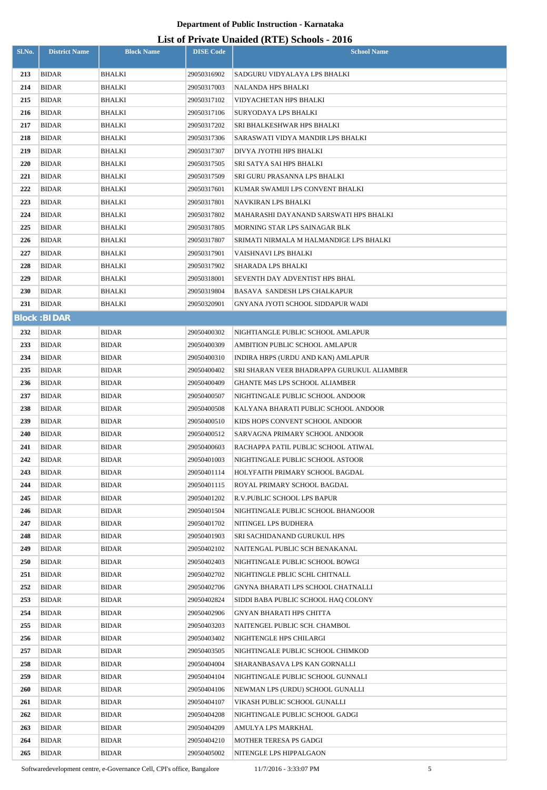| Sl.No.     | <b>District Name</b>         | <b>Block Name</b>     | <b>DISE Code</b>           | $\mu$ <sub>15</sub> of T <sub>11</sub> , and Onalact (IVII) behoofs $\mu$ <sub>016</sub><br><b>School Name</b> |
|------------|------------------------------|-----------------------|----------------------------|----------------------------------------------------------------------------------------------------------------|
| 213        | <b>BIDAR</b>                 | <b>BHALKI</b>         | 29050316902                | SADGURU VIDYALAYA LPS BHALKI                                                                                   |
| 214        | <b>BIDAR</b>                 | BHALKI                | 29050317003                | NALANDA HPS BHALKI                                                                                             |
| 215        | BIDAR                        | <b>BHALKI</b>         | 29050317102                | <b>VIDYACHETAN HPS BHALKI</b>                                                                                  |
| 216        | <b>BIDAR</b>                 | BHALKI                | 29050317106                | SURYODAYA LPS BHALKI                                                                                           |
| 217        | BIDAR                        | BHALKI                | 29050317202                | SRI BHALKESHWAR HPS BHALKI                                                                                     |
| 218        | <b>BIDAR</b>                 | BHALKI                | 29050317306                | SARASWATI VIDYA MANDIR LPS BHALKI                                                                              |
| 219        | BIDAR                        | BHALKI                | 29050317307                | DIVYA JYOTHI HPS BHALKI                                                                                        |
| 220        | <b>BIDAR</b>                 | BHALKI                | 29050317505                | SRI SATYA SAI HPS BHALKI                                                                                       |
| 221        | <b>BIDAR</b>                 | BHALKI                | 29050317509                | SRI GURU PRASANNA LPS BHALKI                                                                                   |
| 222        | <b>BIDAR</b>                 | BHALKI                | 29050317601                | KUMAR SWAMIJI LPS CONVENT BHALKI                                                                               |
| 223        | <b>BIDAR</b>                 | BHALKI                | 29050317801                | NAVKIRAN LPS BHALKI                                                                                            |
| 224        | <b>BIDAR</b>                 | BHALKI                | 29050317802                | MAHARASHI DAYANAND SARSWATI HPS BHALKI                                                                         |
| 225        | <b>BIDAR</b>                 | <b>BHALKI</b>         | 29050317805                | MORNING STAR LPS SAINAGAR BLK                                                                                  |
| 226        | <b>BIDAR</b>                 | <b>BHALKI</b>         | 29050317807                | SRIMATI NIRMALA M HALMANDIGE LPS BHALKI                                                                        |
| 227        | <b>BIDAR</b>                 | BHALKI                | 29050317901                | VAISHNAVI LPS BHALKI                                                                                           |
| 228        | <b>BIDAR</b>                 | BHALKI                | 29050317902                | SHARADA LPS BHALKI                                                                                             |
| 229        | <b>BIDAR</b>                 | BHALKI                | 29050318001                | SEVENTH DAY ADVENTIST HPS BHAL                                                                                 |
| 230        | <b>BIDAR</b>                 | BHALKI                | 29050319804                | BASAVA SANDESH LPS CHALKAPUR                                                                                   |
| 231        | <b>BIDAR</b>                 | <b>BHALKI</b>         | 29050320901                | GNYANA JYOTI SCHOOL SIDDAPUR WADI                                                                              |
|            | <b>Block: BIDAR</b>          |                       |                            |                                                                                                                |
| 232        | <b>BIDAR</b>                 | <b>BIDAR</b>          | 29050400302                | NIGHTIANGLE PUBLIC SCHOOL AMLAPUR                                                                              |
| 233        | <b>BIDAR</b>                 | <b>BIDAR</b>          | 29050400309                | AMBITION PUBLIC SCHOOL AMLAPUR                                                                                 |
| 234        | BIDAR                        | <b>BIDAR</b>          | 29050400310                | INDIRA HRPS (URDU AND KAN) AMLAPUR                                                                             |
| 235        | <b>BIDAR</b>                 | <b>BIDAR</b>          | 29050400402                | SRI SHARAN VEER BHADRAPPA GURUKUL ALIAMBER                                                                     |
| 236        | <b>BIDAR</b>                 | <b>BIDAR</b>          | 29050400409                | GHANTE M4S LPS SCHOOL ALIAMBER                                                                                 |
| 237        | <b>BIDAR</b>                 | <b>BIDAR</b>          | 29050400507                | NIGHTINGALE PUBLIC SCHOOL ANDOOR                                                                               |
| 238        | <b>BIDAR</b>                 | <b>BIDAR</b>          | 29050400508                | KALYANA BHARATI PUBLIC SCHOOL ANDOOR                                                                           |
| 239        | <b>BIDAR</b>                 | <b>BIDAR</b>          | 29050400510                | KIDS HOPS CONVENT SCHOOL ANDOOR                                                                                |
| 240        | BIDAR                        | <b>BIDAR</b>          | 29050400512                | SARVAGNA PRIMARY SCHOOL ANDOOR                                                                                 |
| 241        | <b>BIDAR</b>                 | <b>BIDAR</b>          | 29050400603                | RACHAPPA PATIL PUBLIC SCHOOL ATIWAL                                                                            |
| 242        | BIDAR                        | <b>BIDAR</b>          | 29050401003                | NIGHTINGALE PUBLIC SCHOOL ASTOOR                                                                               |
| 243        | <b>BIDAR</b>                 | <b>BIDAR</b>          | 29050401114                | HOLYFAITH PRIMARY SCHOOL BAGDAL                                                                                |
| 244        | <b>BIDAR</b>                 | <b>BIDAR</b>          | 29050401115                | ROYAL PRIMARY SCHOOL BAGDAL                                                                                    |
| 245        | BIDAR                        | <b>BIDAR</b>          | 29050401202                | R.V.PUBLIC SCHOOL LPS BAPUR                                                                                    |
| 246        | <b>BIDAR</b>                 | <b>BIDAR</b>          | 29050401504                | NIGHTINGALE PUBLIC SCHOOL BHANGOOR                                                                             |
| 247        | BIDAR                        | <b>BIDAR</b>          | 29050401702                | NITINGEL LPS BUDHERA                                                                                           |
| 248        | <b>BIDAR</b>                 | <b>BIDAR</b>          | 29050401903                | SRI SACHIDANAND GURUKUL HPS                                                                                    |
| 249        | <b>BIDAR</b>                 | <b>BIDAR</b>          | 29050402102                | NAITENGAL PUBLIC SCH BENAKANAL                                                                                 |
| 250        | <b>BIDAR</b>                 | <b>BIDAR</b>          | 29050402403                | NIGHTINGALE PUBLIC SCHOOL BOWGI                                                                                |
| 251        | <b>BIDAR</b>                 | <b>BIDAR</b>          | 29050402702                | NIGHTINGLE PBLIC SCHL CHITNALL                                                                                 |
| 252        | <b>BIDAR</b>                 | <b>BIDAR</b>          | 29050402706                | GNYNA BHARATI LPS SCHOOL CHATNALLI                                                                             |
| 253<br>254 | <b>BIDAR</b><br><b>BIDAR</b> | BIDAR<br><b>BIDAR</b> | 29050402824<br>29050402906 | SIDDI BABA PUBLIC SCHOOL HAQ COLONY<br>GNYAN BHARATI HPS CHITTA                                                |
| 255        | BIDAR                        |                       |                            |                                                                                                                |
| 256        | <b>BIDAR</b>                 | BIDAR<br><b>BIDAR</b> | 29050403203<br>29050403402 | NAITENGEL PUBLIC SCH. CHAMBOL<br>NIGHTENGLE HPS CHILARGI                                                       |
| 257        | BIDAR                        | <b>BIDAR</b>          | 29050403505                | NIGHTINGALE PUBLIC SCHOOL CHIMKOD                                                                              |
| 258        | <b>BIDAR</b>                 | <b>BIDAR</b>          | 29050404004                | SHARANBASAVA LPS KAN GORNALLI                                                                                  |
| 259        | BIDAR                        | <b>BIDAR</b>          | 29050404104                | NIGHTINGALE PUBLIC SCHOOL GUNNALI                                                                              |
| 260        | BIDAR                        | <b>BIDAR</b>          | 29050404106                | NEWMAN LPS (URDU) SCHOOL GUNALLI                                                                               |
| 261        | BIDAR                        | <b>BIDAR</b>          | 29050404107                | VIKASH PUBLIC SCHOOL GUNALLI                                                                                   |
| 262        | BIDAR                        | BIDAR                 | 29050404208                | NIGHTINGALE PUBLIC SCHOOL GADGI                                                                                |
| 263        | BIDAR                        | <b>BIDAR</b>          | 29050404209                | AMULYA LPS MARKHAL                                                                                             |
| 264        | <b>BIDAR</b>                 | <b>BIDAR</b>          | 29050404210                | <b>MOTHER TERESA PS GADGI</b>                                                                                  |
| 265        | <b>BIDAR</b>                 | <b>BIDAR</b>          | 29050405002                | NITENGLE LPS HIPPALGAON                                                                                        |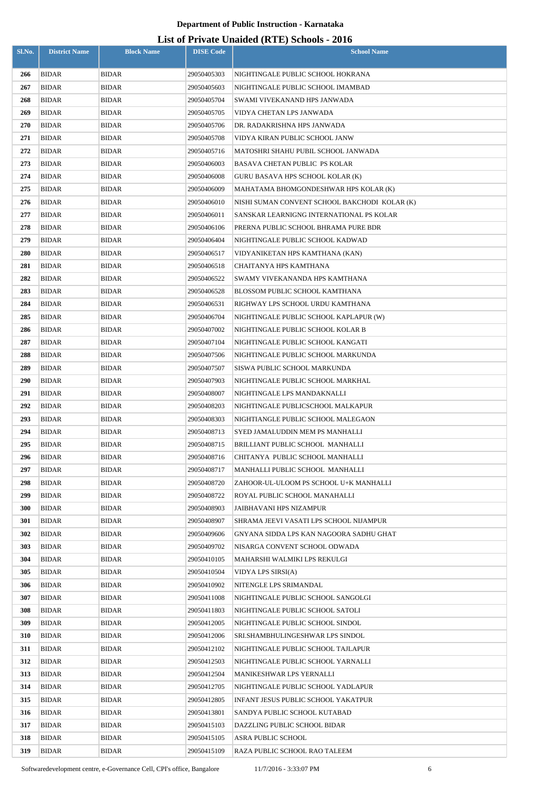| Sl.No.     | <b>District Name</b>         | <b>Block Name</b>            | <b>DISE Code</b>           | $\mu$ <sub>15</sub> of T <sub>11</sub> , and Omaraca (IVIII) behoofs $\mu$ <sub>010</sub><br><b>School Name</b> |
|------------|------------------------------|------------------------------|----------------------------|-----------------------------------------------------------------------------------------------------------------|
|            |                              |                              |                            |                                                                                                                 |
| 266        | <b>BIDAR</b>                 | <b>BIDAR</b>                 | 29050405303                | NIGHTINGALE PUBLIC SCHOOL HOKRANA                                                                               |
| 267        | <b>BIDAR</b>                 | <b>BIDAR</b>                 | 29050405603                | NIGHTINGALE PUBLIC SCHOOL IMAMBAD                                                                               |
| 268        | BIDAR                        | <b>BIDAR</b>                 | 29050405704                | SWAMI VIVEKANAND HPS JANWADA                                                                                    |
| 269<br>270 | <b>BIDAR</b><br>BIDAR        | <b>BIDAR</b><br><b>BIDAR</b> | 29050405705<br>29050405706 | VIDYA CHETAN LPS JANWADA<br>DR. RADAKRISHNA HPS JANWADA                                                         |
| 271        | <b>BIDAR</b>                 | <b>BIDAR</b>                 | 29050405708                | VIDYA KIRAN PUBLIC SCHOOL JANW                                                                                  |
| 272        | <b>BIDAR</b>                 | <b>BIDAR</b>                 | 29050405716                | MATOSHRI SHAHU PUBIL SCHOOL JANWADA                                                                             |
| 273        | <b>BIDAR</b>                 | <b>BIDAR</b>                 | 29050406003                | BASAVA CHETAN PUBLIC  PS KOLAR                                                                                  |
| 274        | <b>BIDAR</b>                 | <b>BIDAR</b>                 | 29050406008                | GURU BASAVA HPS SCHOOL KOLAR (K)                                                                                |
| 275        | <b>BIDAR</b>                 | <b>BIDAR</b>                 | 29050406009                | MAHATAMA BHOMGONDESHWAR HPS KOLAR (K)                                                                           |
| 276        | <b>BIDAR</b>                 | <b>BIDAR</b>                 | 29050406010                | NISHI SUMAN CONVENT SCHOOL BAKCHODI KOLAR (K)                                                                   |
| 277        | BIDAR                        | <b>BIDAR</b>                 | 29050406011                | SANSKAR LEARNIGNG INTERNATIONAL PS KOLAR                                                                        |
| 278        | <b>BIDAR</b>                 | <b>BIDAR</b>                 | 29050406106                | PRERNA PUBLIC SCHOOL BHRAMA PURE BDR                                                                            |
| 279        | <b>BIDAR</b>                 | <b>BIDAR</b>                 | 29050406404                | NIGHTINGALE PUBLIC SCHOOL KADWAD                                                                                |
| 280        | <b>BIDAR</b>                 | <b>BIDAR</b>                 | 29050406517                | VIDYANIKETAN HPS KAMTHANA (KAN)                                                                                 |
| 281        | <b>BIDAR</b>                 | <b>BIDAR</b>                 | 29050406518                | CHAITANYA HPS KAMTHANA                                                                                          |
| 282        | <b>BIDAR</b>                 | <b>BIDAR</b>                 | 29050406522                | SWAMY VIVEKANANDA HPS KAMTHANA                                                                                  |
| 283        | <b>BIDAR</b>                 | <b>BIDAR</b>                 | 29050406528                | BLOSSOM PUBLIC SCHOOL KAMTHANA                                                                                  |
| 284        | <b>BIDAR</b>                 | <b>BIDAR</b>                 | 29050406531                | RIGHWAY LPS SCHOOL URDU KAMTHANA                                                                                |
| 285        | <b>BIDAR</b>                 | <b>BIDAR</b>                 | 29050406704                | NIGHTINGALE PUBLIC SCHOOL KAPLAPUR (W)                                                                          |
| 286        | <b>BIDAR</b>                 | <b>BIDAR</b>                 | 29050407002                | NIGHTINGALE PUBLIC SCHOOL KOLAR B                                                                               |
| 287        | BIDAR                        | <b>BIDAR</b>                 | 29050407104                | NIGHTINGALE PUBLIC SCHOOL KANGATI                                                                               |
| 288        | <b>BIDAR</b>                 | <b>BIDAR</b>                 | 29050407506                | NIGHTINGALE PUBLIC SCHOOL MARKUNDA                                                                              |
| 289        | BIDAR                        | <b>BIDAR</b>                 | 29050407507                | SISWA PUBLIC SCHOOL MARKUNDA                                                                                    |
| 290        | <b>BIDAR</b>                 | <b>BIDAR</b>                 | 29050407903                | NIGHTINGALE PUBLIC SCHOOL MARKHAL                                                                               |
| 291        | <b>BIDAR</b>                 | <b>BIDAR</b>                 | 29050408007                | NIGHTINGALE LPS MANDAKNALLI                                                                                     |
| 292        | <b>BIDAR</b>                 | <b>BIDAR</b>                 | 29050408203                | NIGHTINGALE PUBLICSCHOOL MALKAPUR                                                                               |
| 293        | <b>BIDAR</b>                 | <b>BIDAR</b>                 | 29050408303                | NIGHTIANGLE PUBLIC SCHOOL MALEGAON                                                                              |
| 294        | <b>BIDAR</b>                 | <b>BIDAR</b>                 | 29050408713                | SYED JAMALUDDIN MEM PS MANHALLI                                                                                 |
| 295        | <b>BIDAR</b>                 | <b>BIDAR</b>                 | 29050408715                | BRILLIANT PUBLIC SCHOOL MANHALLI                                                                                |
| 296        | <b>BIDAR</b>                 | <b>BIDAR</b>                 | 29050408716                | CHITANYA PUBLIC SCHOOL MANHALLI                                                                                 |
| 297        | <b>BIDAR</b>                 | <b>BIDAR</b>                 | 29050408717                | MANHALLI PUBLIC SCHOOL MANHALLI                                                                                 |
| 298        | <b>BIDAR</b>                 | <b>BIDAR</b>                 | 29050408720                | ZAHOOR-UL-ULOOM PS SCHOOL U+K MANHALLI                                                                          |
| 299        | <b>BIDAR</b>                 | <b>BIDAR</b>                 | 29050408722                | ROYAL PUBLIC SCHOOL MANAHALLI                                                                                   |
| 300        | <b>BIDAR</b>                 | <b>BIDAR</b>                 | 29050408903                | JAIBHAVANI HPS NIZAMPUR                                                                                         |
| 301        | <b>BIDAR</b>                 | <b>BIDAR</b>                 | 29050408907                | SHRAMA JEEVI VASATI LPS SCHOOL NIJAMPUR                                                                         |
| 302        | <b>BIDAR</b>                 | <b>BIDAR</b>                 | 29050409606                | GNYANA SIDDA LPS KAN NAGOORA SADHU GHAT                                                                         |
| 303<br>304 | <b>BIDAR</b>                 | <b>BIDAR</b>                 | 29050409702                | NISARGA CONVENT SCHOOL ODWADA                                                                                   |
| 305        | <b>BIDAR</b><br><b>BIDAR</b> | <b>BIDAR</b><br><b>BIDAR</b> | 29050410105<br>29050410504 | MAHARSHI WALMIKI LPS REKULGI<br>VIDYA LPS SIRSI(A)                                                              |
| 306        | <b>BIDAR</b>                 | <b>BIDAR</b>                 | 29050410902                | NITENGLE LPS SRIMANDAL                                                                                          |
| 307        | <b>BIDAR</b>                 | <b>BIDAR</b>                 | 29050411008                | NIGHTINGALE PUBLIC SCHOOL SANGOLGI                                                                              |
| 308        | BIDAR                        | BIDAR                        | 29050411803                | NIGHTINGALE PUBLIC SCHOOL SATOLI                                                                                |
| 309        | <b>BIDAR</b>                 | <b>BIDAR</b>                 | 29050412005                | NIGHTINGALE PUBLIC SCHOOL SINDOL                                                                                |
| 310        | BIDAR                        | <b>BIDAR</b>                 | 29050412006                | SRI.SHAMBHULINGESHWAR LPS SINDOL                                                                                |
| 311        | <b>BIDAR</b>                 | <b>BIDAR</b>                 | 29050412102                | NIGHTINGALE PUBLIC SCHOOL TAJLAPUR                                                                              |
| 312        | BIDAR                        | <b>BIDAR</b>                 | 29050412503                | NIGHTINGALE PUBLIC SCHOOL YARNALLI                                                                              |
| 313        | <b>BIDAR</b>                 | <b>BIDAR</b>                 | 29050412504                | MANIKESHWAR LPS YERNALLI                                                                                        |
| 314        | BIDAR                        | <b>BIDAR</b>                 | 29050412705                | NIGHTINGALE PUBLIC SCHOOL YADLAPUR                                                                              |
| 315        | <b>BIDAR</b>                 | <b>BIDAR</b>                 | 29050412805                | INFANT JESUS PUBLIC SCHOOL YAKATPUR                                                                             |
| 316        | <b>BIDAR</b>                 | <b>BIDAR</b>                 | 29050413801                | SANDYA PUBLIC SCHOOL KUTABAD                                                                                    |
| 317        | <b>BIDAR</b>                 | <b>BIDAR</b>                 | 29050415103                | DAZZLING PUBLIC SCHOOL BIDAR                                                                                    |
| 318        | <b>BIDAR</b>                 | <b>BIDAR</b>                 | 29050415105                | ASRA PUBLIC SCHOOL                                                                                              |
| 319        | <b>BIDAR</b>                 | <b>BIDAR</b>                 | 29050415109                | RAZA PUBLIC SCHOOL RAO TALEEM                                                                                   |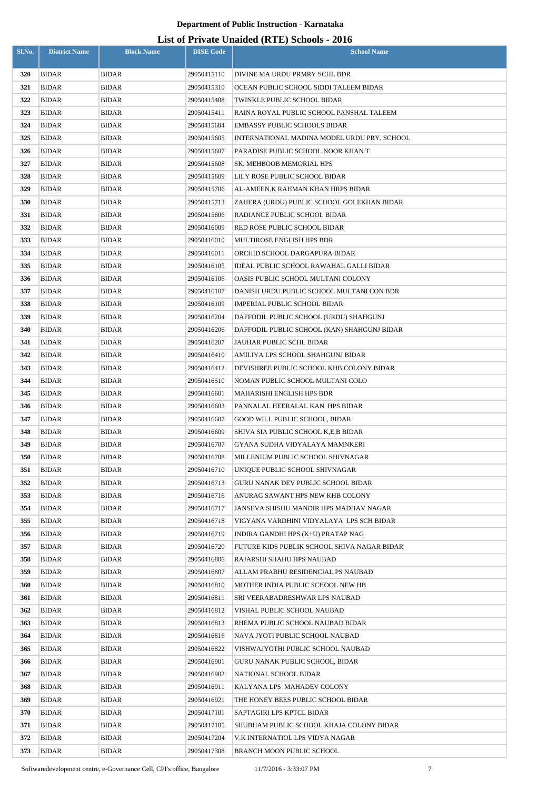| Sl.No.     | <b>District Name</b>  | <b>Block Name</b>            | <b>DISE Code</b>           | $\frac{1}{2}$<br><b>School Name</b>                                   |
|------------|-----------------------|------------------------------|----------------------------|-----------------------------------------------------------------------|
| 320        | <b>BIDAR</b>          | <b>BIDAR</b>                 | 29050415110                | DIVINE MA URDU PRMRY SCHL BDR                                         |
| 321        | <b>BIDAR</b>          | <b>BIDAR</b>                 | 29050415310                | OCEAN PUBLIC SCHOOL SIDDI TALEEM BIDAR                                |
| 322        | BIDAR                 | <b>BIDAR</b>                 | 29050415408                | TWINKLE PUBLIC SCHOOL BIDAR                                           |
| 323        | <b>BIDAR</b>          | <b>BIDAR</b>                 | 29050415411                | RAINA ROYAL PUBLIC SCHOOL PANSHAL TALEEM                              |
| 324        | BIDAR                 | <b>BIDAR</b>                 | 29050415604                | EMBASSY PUBLIC SCHOOLS BIDAR                                          |
| 325        | <b>BIDAR</b>          | <b>BIDAR</b>                 | 29050415605                | INTERNATIONAL MADINA MODEL URDU PRY. SCHOOL                           |
| 326        | BIDAR                 | <b>BIDAR</b>                 | 29050415607                | PARADISE PUBLIC SCHOOL NOOR KHAN T                                    |
| 327        | BIDAR                 | <b>BIDAR</b>                 | 29050415608                | SK. MEHBOOB MEMORIAL HPS                                              |
| 328        | BIDAR                 | <b>BIDAR</b>                 | 29050415609                | LILY ROSE PUBLIC SCHOOL BIDAR                                         |
| 329        | <b>BIDAR</b>          | <b>BIDAR</b>                 | 29050415706                | AL-AMEEN.K RAHMAN KHAN HRPS BIDAR                                     |
| 330        | <b>BIDAR</b>          | <b>BIDAR</b>                 | 29050415713                | ZAHERA (URDU) PUBLIC SCHOOL GOLEKHAN BIDAR                            |
| 331        | <b>BIDAR</b>          | <b>BIDAR</b>                 | 29050415806                | RADIANCE PUBLIC SCHOOL BIDAR                                          |
| 332        | BIDAR                 | <b>BIDAR</b>                 | 29050416009                | RED ROSE PUBLIC SCHOOL BIDAR                                          |
| 333        | <b>BIDAR</b>          | <b>BIDAR</b>                 | 29050416010                | MULTIROSE ENGLISH HPS BDR                                             |
| 334        | <b>BIDAR</b>          | <b>BIDAR</b>                 | 29050416011                | ORCHID SCHOOL DARGAPURA BIDAR                                         |
| 335        | <b>BIDAR</b>          | <b>BIDAR</b>                 | 29050416105                | IDEAL PUBLIC SCHOOL RAWAHAL GALLI BIDAR                               |
| 336        | <b>BIDAR</b>          | <b>BIDAR</b>                 | 29050416106                | OASIS PUBLIC SCHOOL MULTANI COLONY                                    |
| 337        | <b>BIDAR</b>          | <b>BIDAR</b>                 | 29050416107                | DANISH URDU PUBLIC SCHOOL MULTANI CON BDR                             |
| 338        | <b>BIDAR</b>          | <b>BIDAR</b>                 | 29050416109                | IMPERIAL PUBLIC SCHOOL BIDAR                                          |
| 339        | <b>BIDAR</b>          | <b>BIDAR</b>                 | 29050416204                | DAFFODIL PUBLIC SCHOOL (URDU) SHAHGUNJ                                |
| 340        | <b>BIDAR</b>          | <b>BIDAR</b>                 | 29050416206                | DAFFODIL PUBLIC SCHOOL (KAN) SHAHGUNJ BIDAR                           |
| 341        | <b>BIDAR</b>          | <b>BIDAR</b>                 | 29050416207                | JAUHAR PUBLIC SCHL BIDAR                                              |
| 342        | <b>BIDAR</b>          | <b>BIDAR</b>                 | 29050416410                | AMILIYA LPS SCHOOL SHAHGUNJ BIDAR                                     |
| 343        | <b>BIDAR</b>          | <b>BIDAR</b>                 | 29050416412                | DEVISHREE PUBLIC SCHOOL KHB COLONY BIDAR                              |
| 344        | <b>BIDAR</b>          | BIDAR                        | 29050416510                | NOMAN PUBLIC SCHOOL MULTANI COLO                                      |
| 345        | <b>BIDAR</b>          | <b>BIDAR</b>                 | 29050416601                | MAHARISHI ENGLISH HPS BDR                                             |
| 346        | <b>BIDAR</b>          | <b>BIDAR</b>                 | 29050416603                | PANNALAL HEERALAL KAN HPS BIDAR                                       |
| 347        | BIDAR                 | <b>BIDAR</b>                 | 29050416607                | GOOD WILL PUBLIC SCHOOL, BIDAR                                        |
| 348<br>349 | <b>BIDAR</b>          | <b>BIDAR</b>                 | 29050416609                | SHIVA SIA PUBLIC SCHOOL K,E,B BIDAR<br>GYANA SUDHA VIDYALAYA MAMNKERI |
| 350        | BIDAR<br><b>BIDAR</b> | <b>BIDAR</b><br><b>BIDAR</b> | 29050416707<br>29050416708 | MILLENIUM PUBLIC SCHOOL SHIVNAGAR                                     |
| 351        | BIDAR                 | <b>BIDAR</b>                 | 29050416710                | UNIQUE PUBLIC SCHOOL SHIVNAGAR                                        |
| 352        | <b>BIDAR</b>          | <b>BIDAR</b>                 | 29050416713                | GURU NANAK DEV PUBLIC SCHOOL BIDAR                                    |
| 353        | BIDAR                 | <b>BIDAR</b>                 | 29050416716                | ANURAG SAWANT HPS NEW KHB COLONY                                      |
| 354        | <b>BIDAR</b>          | <b>BIDAR</b>                 | 29050416717                | JANSEVA SHISHU MANDIR HPS MADHAV NAGAR                                |
| 355        | BIDAR                 | <b>BIDAR</b>                 | 29050416718                | VIGYANA VARDHINI VIDYALAYA LPS SCH BIDAR                              |
| 356        | BIDAR                 | <b>BIDAR</b>                 | 29050416719                | INDIRA GANDHI HPS (K+U) PRATAP NAG                                    |
| 357        | BIDAR                 | <b>BIDAR</b>                 | 29050416720                | FUTURE KIDS PUBLIK SCHOOL SHIVA NAGAR BIDAR                           |
| 358        | <b>BIDAR</b>          | <b>BIDAR</b>                 | 29050416806                | RAJARSHI SHAHU HPS NAUBAD                                             |
| 359        | <b>BIDAR</b>          | <b>BIDAR</b>                 | 29050416807                | ALLAM PRABHU RESIDENCIAL PS NAUBAD                                    |
| 360        | BIDAR                 | <b>BIDAR</b>                 | 29050416810                | MOTHER INDIA PUBLIC SCHOOL NEW HB                                     |
| 361        | <b>BIDAR</b>          | <b>BIDAR</b>                 | 29050416811                | SRI VEERABADRESHWAR LPS NAUBAD                                        |
| 362        | <b>BIDAR</b>          | BIDAR                        | 29050416812                | VISHAL PUBLIC SCHOOL NAUBAD                                           |
| 363        | <b>BIDAR</b>          | <b>BIDAR</b>                 | 29050416813                | RHEMA PUBLIC SCHOOL NAUBAD BIDAR                                      |
| 364        | <b>BIDAR</b>          | <b>BIDAR</b>                 | 29050416816                | NAVA JYOTI PUBLIC SCHOOL NAUBAD                                       |
| 365        | <b>BIDAR</b>          | <b>BIDAR</b>                 | 29050416822                | VISHWAJYOTHI PUBLIC SCHOOL NAUBAD                                     |
| 366        | <b>BIDAR</b>          | BIDAR                        | 29050416901                | GURU NANAK PUBLIC SCHOOL, BIDAR                                       |
| 367        | <b>BIDAR</b>          | BIDAR                        | 29050416902                | NATIONAL SCHOOL BIDAR                                                 |
| 368        | BIDAR                 | BIDAR                        | 29050416911                | KALYANA LPS MAHADEV COLONY                                            |
| 369        | <b>BIDAR</b>          | BIDAR                        | 29050416921                | THE HONEY BEES PUBLIC SCHOOL BIDAR                                    |
| 370        | BIDAR                 | <b>BIDAR</b>                 | 29050417101                | SAPTAGIRI LPS KPTCL BIDAR                                             |
| 371        | <b>BIDAR</b>          | <b>BIDAR</b>                 | 29050417105                | SHUBHAM PUBLIC SCHOOL KHAJA COLONY BIDAR                              |
| 372        | BIDAR                 | <b>BIDAR</b>                 | 29050417204                | V.K INTERNATIOL LPS VIDYA NAGAR                                       |
| 373        | <b>BIDAR</b>          | <b>BIDAR</b>                 | 29050417308                | BRANCH MOON PUBLIC SCHOOL                                             |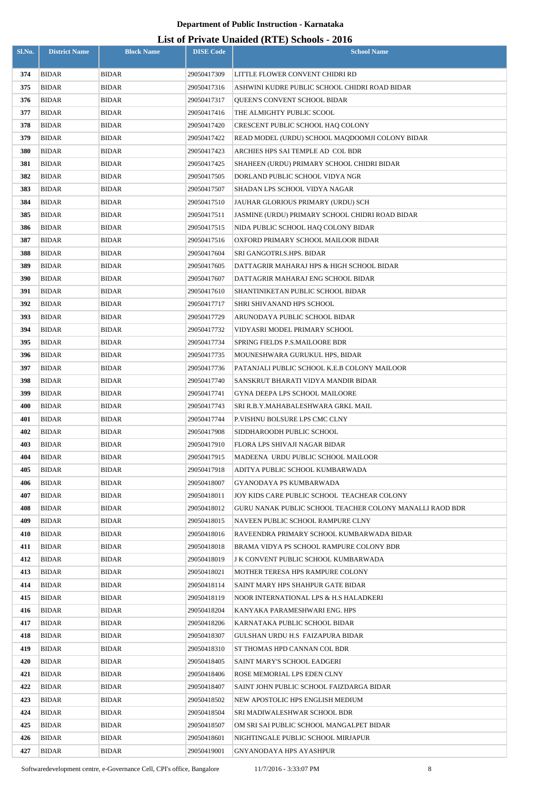| Sl.No.     | <b>District Name</b>  | <b>Block Name</b>            | <b>DISE Code</b>           | $= (-22)$<br><b>School Name</b>                            |
|------------|-----------------------|------------------------------|----------------------------|------------------------------------------------------------|
| 374        | <b>BIDAR</b>          | <b>BIDAR</b>                 | 29050417309                | LITTLE FLOWER CONVENT CHIDRI RD                            |
| 375        | <b>BIDAR</b>          | <b>BIDAR</b>                 | 29050417316                | ASHWINI KUDRE PUBLIC SCHOOL CHIDRI ROAD BIDAR              |
| 376        | <b>BIDAR</b>          | <b>BIDAR</b>                 | 29050417317                | <b>OUEEN'S CONVENT SCHOOL BIDAR</b>                        |
| 377        | <b>BIDAR</b>          | <b>BIDAR</b>                 | 29050417416                | THE ALMIGHTY PUBLIC SCOOL                                  |
| 378        | BIDAR                 | <b>BIDAR</b>                 | 29050417420                | CRESCENT PUBLIC SCHOOL HAQ COLONY                          |
| 379        | <b>BIDAR</b>          | <b>BIDAR</b>                 | 29050417422                | READ MODEL (URDU) SCHOOL MAQDOOMJI COLONY BIDAR            |
| 380        | BIDAR                 | <b>BIDAR</b>                 | 29050417423                | ARCHIES HPS SAI TEMPLE AD COL BDR                          |
| 381        | <b>BIDAR</b>          | <b>BIDAR</b>                 | 29050417425                | SHAHEEN (URDU) PRIMARY SCHOOL CHIDRI BIDAR                 |
| 382        | BIDAR                 | <b>BIDAR</b>                 | 29050417505                | DORLAND PUBLIC SCHOOL VIDYA NGR                            |
| 383        | <b>BIDAR</b>          | <b>BIDAR</b>                 | 29050417507                | SHADAN LPS SCHOOL VIDYA NAGAR                              |
| 384        | BIDAR                 | <b>BIDAR</b>                 | 29050417510                | JAUHAR GLORIOUS PRIMARY (URDU) SCH                         |
| 385        | <b>BIDAR</b>          | <b>BIDAR</b>                 | 29050417511                | JASMINE (URDU) PRIMARY SCHOOL CHIDRI ROAD BIDAR            |
| 386        | <b>BIDAR</b>          | <b>BIDAR</b>                 | 29050417515                | NIDA PUBLIC SCHOOL HAQ COLONY BIDAR                        |
| 387        | <b>BIDAR</b>          | <b>BIDAR</b>                 | 29050417516                | OXFORD PRIMARY SCHOOL MAILOOR BIDAR                        |
| 388        | <b>BIDAR</b>          | <b>BIDAR</b>                 | 29050417604                | SRI GANGOTRI.S.HPS. BIDAR                                  |
| 389        | <b>BIDAR</b>          | <b>BIDAR</b>                 | 29050417605                | DATTAGRIR MAHARAJ HPS & HIGH SCHOOL BIDAR                  |
| 390        | BIDAR                 | <b>BIDAR</b>                 | 29050417607                | DATTAGRIR MAHARAJ ENG SCHOOL BIDAR                         |
| 391        | <b>BIDAR</b>          | <b>BIDAR</b>                 | 29050417610                | SHANTINIKETAN PUBLIC SCHOOL BIDAR                          |
| 392        | <b>BIDAR</b>          | <b>BIDAR</b>                 | 29050417717                | SHRI SHIVANAND HPS SCHOOL                                  |
| 393        | <b>BIDAR</b>          | <b>BIDAR</b>                 | 29050417729                | ARUNODAYA PUBLIC SCHOOL BIDAR                              |
| 394        | <b>BIDAR</b>          | <b>BIDAR</b>                 | 29050417732                | VIDYASRI MODEL PRIMARY SCHOOL                              |
| 395        | <b>BIDAR</b>          | <b>BIDAR</b>                 | 29050417734                | SPRING FIELDS P.S.MAILOORE BDR                             |
| 396        | <b>BIDAR</b>          | <b>BIDAR</b>                 | 29050417735                | MOUNESHWARA GURUKUL HPS, BIDAR                             |
| 397        | BIDAR                 | <b>BIDAR</b>                 | 29050417736                | PATANJALI PUBLIC SCHOOL K.E.B COLONY MAILOOR               |
| 398        | <b>BIDAR</b>          | <b>BIDAR</b>                 | 29050417740                | SANSKRUT BHARATI VIDYA MANDIR BIDAR                        |
| 399        | <b>BIDAR</b>          | <b>BIDAR</b>                 | 29050417741                | GYNA DEEPA LPS SCHOOL MAILOORE                             |
| 400        | <b>BIDAR</b>          | <b>BIDAR</b>                 | 29050417743                | SRI R.B.Y.MAHABALESHWARA GRKL MAIL                         |
| 401<br>402 | BIDAR<br><b>BIDAR</b> | <b>BIDAR</b><br><b>BIDAR</b> | 29050417744<br>29050417908 | P.VISHNU BOLSURE LPS CMC CLNY<br>SIDDHAROODH PUBLIC SCHOOL |
| 403        | BIDAR                 | <b>BIDAR</b>                 | 29050417910                | FLORA LPS SHIVAJI NAGAR BIDAR                              |
| 404        | <b>BIDAR</b>          | <b>BIDAR</b>                 | 29050417915                | MADEENA URDU PUBLIC SCHOOL MAILOOR                         |
| 405        | BIDAR                 | <b>BIDAR</b>                 | 29050417918                | ADITYA PUBLIC SCHOOL KUMBARWADA                            |
| 406        | <b>BIDAR</b>          | <b>BIDAR</b>                 | 29050418007                | GYANODAYA PS KUMBARWADA                                    |
| 407        | BIDAR                 | <b>BIDAR</b>                 | 29050418011                | JOY KIDS CARE PUBLIC SCHOOL  TEACHEAR COLONY               |
| 408        | <b>BIDAR</b>          | <b>BIDAR</b>                 | 29050418012                | GURU NANAK PUBLIC SCHOOL TEACHER COLONY MANALLI RAOD BDR   |
| 409        | BIDAR                 | <b>BIDAR</b>                 | 29050418015                | NAVEEN PUBLIC SCHOOL RAMPURE CLNY                          |
| 410        | <b>BIDAR</b>          | <b>BIDAR</b>                 | 29050418016                | RAVEENDRA PRIMARY SCHOOL KUMBARWADA BIDAR                  |
| 411        | BIDAR                 | <b>BIDAR</b>                 | 29050418018                | BRAMA VIDYA PS SCHOOL RAMPURE COLONY BDR                   |
| 412        | BIDAR                 | <b>BIDAR</b>                 | 29050418019                | J K CONVENT PUBLIC SCHOOL KUMBARWADA                       |
| 413        | BIDAR                 | <b>BIDAR</b>                 | 29050418021                | MOTHER TERESA HPS RAMPURE COLONY                           |
| 414        | BIDAR                 | <b>BIDAR</b>                 | 29050418114                | SAINT MARY HPS SHAHPUR GATE BIDAR                          |
| 415        | <b>BIDAR</b>          | <b>BIDAR</b>                 | 29050418119                | NOOR INTERNATIONAL LPS & H.S HALADKERI                     |
| 416        | <b>BIDAR</b>          | <b>BIDAR</b>                 | 29050418204                | KANYAKA PARAMESHWARI ENG. HPS                              |
| 417        | <b>BIDAR</b>          | <b>BIDAR</b>                 | 29050418206                | KARNATAKA PUBLIC SCHOOL BIDAR                              |
| 418        | BIDAR                 | <b>BIDAR</b>                 | 29050418307                | GULSHAN URDU H.S FAIZAPURA BIDAR                           |
| 419        | <b>BIDAR</b>          | <b>BIDAR</b>                 | 29050418310                | ST THOMAS HPD CANNAN COL BDR                               |
| 420        | <b>BIDAR</b>          | BIDAR                        | 29050418405                | SAINT MARY'S SCHOOL EADGERI                                |
| 421        | <b>BIDAR</b>          | <b>BIDAR</b>                 | 29050418406                | ROSE MEMORIAL LPS EDEN CLNY                                |
| 422        | <b>BIDAR</b>          | <b>BIDAR</b>                 | 29050418407                | SAINT JOHN PUBLIC SCHOOL FAIZDARGA BIDAR                   |
| 423        | <b>BIDAR</b>          | <b>BIDAR</b>                 | 29050418502                | NEW APOSTOLIC HPS ENGLISH MEDIUM                           |
| 424        | BIDAR                 | BIDAR                        | 29050418504                | SRI MADIWALESHWAR SCHOOL BDR                               |
| 425        | <b>BIDAR</b>          | BIDAR                        | 29050418507                | OM SRI SAI PUBLIC SCHOOL MANGALPET BIDAR                   |
| 426        | BIDAR                 | BIDAR                        | 29050418601                | NIGHTINGALE PUBLIC SCHOOL MIRJAPUR                         |
| 427        | <b>BIDAR</b>          | <b>BIDAR</b>                 | 29050419001                | GNYANODAYA HPS AYASHPUR                                    |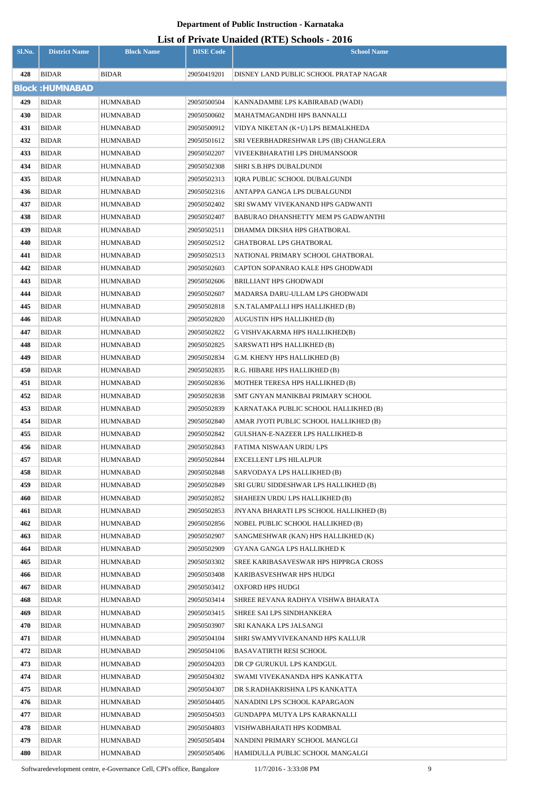# **List of Private Unaided (RTE) Schools - 2016**

| Sl.No. | <b>District Name</b>   | <b>Block Name</b> | <b>DISE Code</b> | <b>School Name</b>                      |
|--------|------------------------|-------------------|------------------|-----------------------------------------|
| 428    | <b>BIDAR</b>           | BIDAR             | 29050419201      | DISNEY LAND PUBLIC SCHOOL PRATAP NAGAR  |
|        | <b>Block: HUMNABAD</b> |                   |                  |                                         |
| 429    | <b>BIDAR</b>           | HUMNABAD          | 29050500504      | KANNADAMBE LPS KABIRABAD (WADI)         |
| 430    | <b>BIDAR</b>           | HUMNABAD          | 29050500602      | MAHATMAGANDHI HPS BANNALLI              |
| 431    | <b>BIDAR</b>           | HUMNABAD          | 29050500912      | VIDYA NIKETAN (K+U) LPS BEMALKHEDA      |
| 432    | <b>BIDAR</b>           | HUMNABAD          | 29050501612      | SRI VEERBHADRESHWAR LPS (IB) CHANGLERA  |
| 433    | <b>BIDAR</b>           | HUMNABAD          | 29050502207      | VIVEEKBHARATHI LPS DHUMANSOOR           |
| 434    | <b>BIDAR</b>           | HUMNABAD          | 29050502308      | SHRI S.B.HPS DUBALDUNDI                 |
| 435    | <b>BIDAR</b>           | HUMNABAD          | 29050502313      | IQRA PUBLIC SCHOOL DUBALGUNDI           |
| 436    | <b>BIDAR</b>           | HUMNABAD          | 29050502316      | ANTAPPA GANGA LPS DUBALGUNDI            |
| 437    | <b>BIDAR</b>           | HUMNABAD          | 29050502402      | SRI SWAMY VIVEKANAND HPS GADWANTI       |
| 438    | <b>BIDAR</b>           | <b>HUMNABAD</b>   | 29050502407      | BABURAO DHANSHETTY MEM PS GADWANTHI     |
| 439    | <b>BIDAR</b>           | HUMNABAD          | 29050502511      | DHAMMA DIKSHA HPS GHATBORAL             |
| 440    | <b>BIDAR</b>           | HUMNABAD          | 29050502512      | <b>GHATBORAL LPS GHATBORAL</b>          |
| 441    | <b>BIDAR</b>           | HUMNABAD          | 29050502513      | NATIONAL PRIMARY SCHOOL GHATBORAL       |
| 442    | <b>BIDAR</b>           | HUMNABAD          | 29050502603      | CAPTON SOPANRAO KALE HPS GHODWADI       |
| 443    | <b>BIDAR</b>           | HUMNABAD          | 29050502606      | BRILLIANT HPS GHODWADI                  |
| 444    | <b>BIDAR</b>           | HUMNABAD          | 29050502607      | MADARSA DARU-ULLAM LPS GHODWADI         |
| 445    | <b>BIDAR</b>           | HUMNABAD          | 29050502818      | S.N.TALAMPALLI HPS HALLIKHED (B)        |
| 446    | <b>BIDAR</b>           | HUMNABAD          | 29050502820      | AUGUSTIN HPS HALLIKHED (B)              |
| 447    | <b>BIDAR</b>           | HUMNABAD          | 29050502822      | G VISHVAKARMA HPS HALLIKHED(B)          |
| 448    | <b>BIDAR</b>           | HUMNABAD          | 29050502825      | SARSWATI HPS HALLIKHED (B)              |
| 449    | <b>BIDAR</b>           | HUMNABAD          | 29050502834      | G.M. KHENY HPS HALLIKHED (B)            |
| 450    | <b>BIDAR</b>           | HUMNABAD          | 29050502835      | R.G. HIBARE HPS HALLIKHED (B)           |
| 451    | <b>BIDAR</b>           | HUMNABAD          | 29050502836      | MOTHER TERESA HPS HALLIKHED (B)         |
| 452    | <b>BIDAR</b>           | HUMNABAD          | 29050502838      | SMT GNYAN MANIKBAI PRIMARY SCHOOL       |
| 453    | <b>BIDAR</b>           | HUMNABAD          | 29050502839      | KARNATAKA PUBLIC SCHOOL HALLIKHED (B)   |
| 454    | <b>BIDAR</b>           | <b>HUMNABAD</b>   | 29050502840      | AMAR JYOTI PUBLIC SCHOOL HALLIKHED (B)  |
| 455    | <b>BIDAR</b>           | HUMNABAD          | 29050502842      | GULSHAN-E-NAZEER LPS HALLIKHED-B        |
| 456    | <b>BIDAR</b>           | HUMNABAD          | 29050502843      | FATIMA NISWAAN URDU LPS                 |
| 457    | <b>BIDAR</b>           | HUMNABAD          | 29050502844      | EXCELLENT LPS HILALPUR                  |
| 458    | <b>BIDAR</b>           | HUMNABAD          | 29050502848      | SARVODAYA LPS HALLIKHED (B)             |
| 459    | <b>BIDAR</b>           | HUMNABAD          | 29050502849      | SRI GURU SIDDESHWAR LPS HALLIKHED (B)   |
| 460    | <b>BIDAR</b>           | HUMNABAD          | 29050502852      | SHAHEEN URDU LPS HALLIKHED (B)          |
| 461    | <b>BIDAR</b>           | HUMNABAD          | 29050502853      | JNYANA BHARATI LPS SCHOOL HALLIKHED (B) |
| 462    | <b>BIDAR</b>           | HUMNABAD          | 29050502856      | NOBEL PUBLIC SCHOOL HALLIKHED (B)       |
| 463    | <b>BIDAR</b>           | HUMNABAD          | 29050502907      | SANGMESHWAR (KAN) HPS HALLIKHED (K)     |
| 464    | <b>BIDAR</b>           | HUMNABAD          | 29050502909      | GYANA GANGA LPS HALLIKHED K             |
| 465    | <b>BIDAR</b>           | HUMNABAD          | 29050503302      | SREE KARIBASAVESWAR HPS HIPPRGA CROSS   |
| 466    | <b>BIDAR</b>           | HUMNABAD          | 29050503408      | KARIBASVESHWAR HPS HUDGI                |
| 467    | <b>BIDAR</b>           | HUMNABAD          | 29050503412      | OXFORD HPS HUDGI                        |
| 468    | <b>BIDAR</b>           | HUMNABAD          | 29050503414      | SHREE REVANA RADHYA VISHWA BHARATA      |
| 469    | <b>BIDAR</b>           | HUMNABAD          | 29050503415      | SHREE SAI LPS SINDHANKERA               |
| 470    | <b>BIDAR</b>           | HUMNABAD          | 29050503907      | SRI KANAKA LPS JALSANGI                 |
| 471    | <b>BIDAR</b>           | HUMNABAD          | 29050504104      | SHRI SWAMYVIVEKANAND HPS KALLUR         |
| 472    | <b>BIDAR</b>           | HUMNABAD          | 29050504106      | BASAVATIRTH RESI SCHOOL                 |
| 473    | <b>BIDAR</b>           | HUMNABAD          | 29050504203      | DR CP GURUKUL LPS KANDGUL               |
| 474    | <b>BIDAR</b>           | HUMNABAD          | 29050504302      | SWAMI VIVEKANANDA HPS KANKATTA          |
| 475    | <b>BIDAR</b>           | HUMNABAD          | 29050504307      | DR S.RADHAKRISHNA LPS KANKATTA          |
| 476    | <b>BIDAR</b>           | HUMNABAD          | 29050504405      | NANADINI LPS SCHOOL KAPARGAON           |
| 477    | <b>BIDAR</b>           | HUMNABAD          | 29050504503      | GUNDAPPA MUTYA LPS KARAKNALLI           |
| 478    | <b>BIDAR</b>           | HUMNABAD          | 29050504803      | VISHWABHARATI HPS KODMBAL               |
| 479    | <b>BIDAR</b>           | HUMNABAD          | 29050505404      | NANDINI PRIMARY SCHOOL MANGLGI          |
| 480    | <b>BIDAR</b>           | HUMNABAD          | 29050505406      | HAMIDULLA PUBLIC SCHOOL MANGALGI        |

Softwaredevelopment centre, e-Governance Cell, CPI's office, Bangalore 11/7/2016 - 3:33:08 PM 9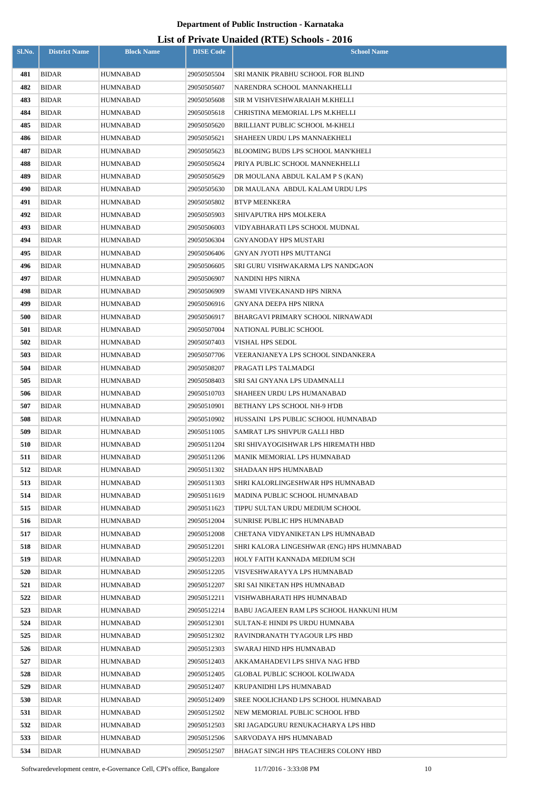| Sl.No.     | <b>District Name</b>         | <b>Block Name</b>    | <b>DISE Code</b>           | $\mu$ <sub>15</sub> of T <sub>11</sub> , and Omaraca (IVIII) behoofs $\mu$ <sub>010</sub><br><b>School Name</b> |
|------------|------------------------------|----------------------|----------------------------|-----------------------------------------------------------------------------------------------------------------|
|            |                              |                      |                            |                                                                                                                 |
| 481        | <b>BIDAR</b>                 | HUMNABAD             | 29050505504                | SRI MANIK PRABHU SCHOOL FOR BLIND                                                                               |
| 482        | <b>BIDAR</b>                 | HUMNABAD             | 29050505607                | NARENDRA SCHOOL MANNAKHELLI                                                                                     |
| 483        | BIDAR                        | HUMNABAD             | 29050505608                | SIR M VISHVESHWARAIAH M.KHELLI                                                                                  |
| 484        | <b>BIDAR</b>                 | HUMNABAD             | 29050505618                | CHRISTINA MEMORIAL LPS M.KHELLI                                                                                 |
| 485        | BIDAR                        | <b>HUMNABAD</b>      | 29050505620                | BRILLIANT PUBLIC SCHOOL M-KHELI                                                                                 |
| 486        | <b>BIDAR</b>                 | HUMNABAD             | 29050505621                | SHAHEEN URDU LPS MANNAEKHELI                                                                                    |
| 487        | BIDAR                        | HUMNABAD             | 29050505623                | BLOOMING BUDS LPS SCHOOL MAN'KHELI                                                                              |
| 488        | BIDAR                        | HUMNABAD             | 29050505624                | PRIYA PUBLIC SCHOOL MANNEKHELLI                                                                                 |
| 489        | <b>BIDAR</b>                 | HUMNABAD             | 29050505629                | DR MOULANA ABDUL KALAM P S (KAN)                                                                                |
| 490        | <b>BIDAR</b>                 | HUMNABAD             | 29050505630                | DR MAULANA ABDUL KALAM URDU LPS                                                                                 |
| 491        | <b>BIDAR</b>                 | HUMNABAD             | 29050505802                | BTVP MEENKERA                                                                                                   |
| 492        | BIDAR                        | <b>HUMNABAD</b>      | 29050505903                | SHIVAPUTRA HPS MOLKERA                                                                                          |
| 493<br>494 | <b>BIDAR</b><br><b>BIDAR</b> | <b>HUMNABAD</b>      | 29050506003                | VIDYABHARATI LPS SCHOOL MUDNAL                                                                                  |
| 495        | <b>BIDAR</b>                 | HUMNABAD<br>HUMNABAD | 29050506304<br>29050506406 | GNYANODAY HPS MUSTARI<br>GNYAN JYOTI HPS MUTTANGI                                                               |
| 496        | <b>BIDAR</b>                 | HUMNABAD             | 29050506605                | SRI GURU VISHWAKARMA LPS NANDGAON                                                                               |
| 497        | <b>BIDAR</b>                 | HUMNABAD             | 29050506907                | NANDINI HPS NIRNA                                                                                               |
| 498        | BIDAR                        | HUMNABAD             | 29050506909                | SWAMI VIVEKANAND HPS NIRNA                                                                                      |
| 499        | BIDAR                        | HUMNABAD             | 29050506916                | GNYANA DEEPA HPS NIRNA                                                                                          |
| 500        | BIDAR                        | HUMNABAD             | 29050506917                | BHARGAVI PRIMARY SCHOOL NIRNAWADI                                                                               |
| 501        | <b>BIDAR</b>                 | HUMNABAD             | 29050507004                | NATIONAL PUBLIC SCHOOL                                                                                          |
| 502        | BIDAR                        | HUMNABAD             | 29050507403                | VISHAL HPS SEDOL                                                                                                |
| 503        | <b>BIDAR</b>                 | HUMNABAD             | 29050507706                | VEERANJANEYA LPS SCHOOL SINDANKERA                                                                              |
| 504        | BIDAR                        | HUMNABAD             | 29050508207                | PRAGATI LPS TALMADGI                                                                                            |
| 505        | <b>BIDAR</b>                 | HUMNABAD             | 29050508403                | SRI SAI GNYANA LPS UDAMNALLI                                                                                    |
| 506        | <b>BIDAR</b>                 | HUMNABAD             | 29050510703                | SHAHEEN URDU LPS HUMANABAD                                                                                      |
| 507        | <b>BIDAR</b>                 | HUMNABAD             | 29050510901                | BETHANY LPS SCHOOL NH-9 H'DB                                                                                    |
| 508        | <b>BIDAR</b>                 | HUMNABAD             | 29050510902                | HUSSAINI LPS PUBLIC SCHOOL HUMNABAD                                                                             |
| 509        | <b>BIDAR</b>                 | HUMNABAD             | 29050511005                | SAMRAT LPS SHIVPUR GALLI HBD                                                                                    |
| 510        | BIDAR                        | <b>HUMNABAD</b>      | 29050511204                | SRI SHIVAYOGISHWAR LPS HIREMATH HBD                                                                             |
| 511        | <b>BIDAR</b>                 | HUMNABAD             | 29050511206                | MANIK MEMORIAL LPS HUMNABAD                                                                                     |
| 512        | <b>BIDAR</b>                 | <b>HUMNABAD</b>      | 29050511302                | SHADAAN HPS HUMNABAD                                                                                            |
| 513        | BIDAR                        | HUMNABAD             | 29050511303                | SHRI KALORLINGESHWAR HPS HUMNABAD                                                                               |
| 514        | <b>BIDAR</b>                 | <b>HUMNABAD</b>      | 29050511619                | MADINA PUBLIC SCHOOL HUMNABAD                                                                                   |
| 515        | <b>BIDAR</b>                 | HUMNABAD             | 29050511623                | TIPPU SULTAN URDU MEDIUM SCHOOL                                                                                 |
| 516        | <b>BIDAR</b>                 | HUMNABAD             | 29050512004                | SUNRISE PUBLIC HPS HUMNABAD                                                                                     |
| 517        | BIDAR                        | HUMNABAD             | 29050512008                | CHETANA VIDYANIKETAN LPS HUMNABAD                                                                               |
| 518        | <b>BIDAR</b>                 | HUMNABAD             | 29050512201                | SHRI KALORA LINGESHWAR (ENG) HPS HUMNABAD                                                                       |
| 519        | BIDAR                        | HUMNABAD             | 29050512203                | HOLY FAITH KANNADA MEDIUM SCH                                                                                   |
| 520        | <b>BIDAR</b>                 | HUMNABAD             | 29050512205                | VISVESHWARAYYA LPS HUMNABAD                                                                                     |
| 521        | BIDAR                        | HUMNABAD             | 29050512207                | SRI SAI NIKETAN HPS HUMNABAD                                                                                    |
| 522        | <b>BIDAR</b>                 | HUMNABAD             | 29050512211                | VISHWABHARATI HPS HUMNABAD                                                                                      |
| 523        | BIDAR                        | HUMNABAD             | 29050512214                | BABU JAGAJEEN RAM LPS SCHOOL HANKUNI HUM                                                                        |
| 524        | <b>BIDAR</b>                 | HUMNABAD             | 29050512301                | SULTAN-E HINDI PS URDU HUMNABA                                                                                  |
| 525        | BIDAR                        | HUMNABAD             | 29050512302                | RAVINDRANATH TYAGOUR LPS HBD                                                                                    |
| 526        | <b>BIDAR</b>                 | HUMNABAD             | 29050512303                | SWARAJ HIND HPS HUMNABAD                                                                                        |
| 527        | BIDAR                        | HUMNABAD             | 29050512403                | AKKAMAHADEVI LPS SHIVA NAG H'BD                                                                                 |
| 528        | <b>BIDAR</b>                 | HUMNABAD             | 29050512405                | GLOBAL PUBLIC SCHOOL KOLIWADA                                                                                   |
| 529        | BIDAR                        | HUMNABAD             | 29050512407                | KRUPANIDHI LPS HUMNABAD                                                                                         |
| 530        | <b>BIDAR</b>                 | HUMNABAD             | 29050512409                | SREE NOOLICHAND LPS SCHOOL HUMNABAD                                                                             |
| 531        | <b>BIDAR</b>                 | <b>HUMNABAD</b>      | 29050512502                | NEW MEMORIAL PUBLIC SCHOOL H'BD                                                                                 |
| 532        | <b>BIDAR</b>                 | <b>HUMNABAD</b>      | 29050512503                | SRI JAGADGURU RENUKACHARYA LPS HBD                                                                              |
| 533        | <b>BIDAR</b>                 | HUMNABAD             | 29050512506                | SARVODAYA HPS HUMNABAD                                                                                          |
| 534        | <b>BIDAR</b>                 | HUMNABAD             | 29050512507                | BHAGAT SINGH HPS TEACHERS COLONY HBD                                                                            |